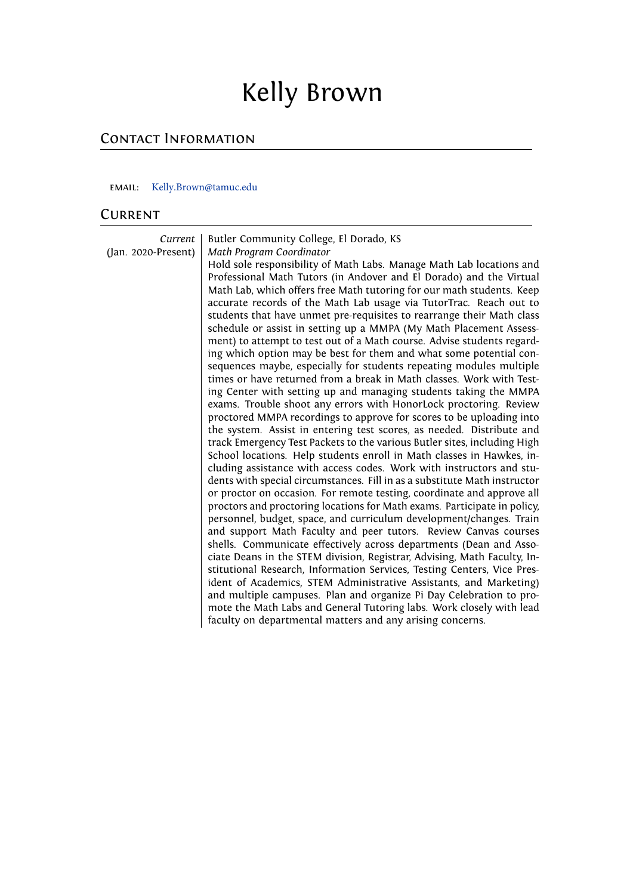# Kelly Brown

## CONTACT INFORMATION

#### email: K[elly.Brown@tamuc.edu](mailto:kellymbrown17@gmail.com)

#### **CURRENT**

| Current             | Butler Community College, El Dorado, KS                                                                                                             |
|---------------------|-----------------------------------------------------------------------------------------------------------------------------------------------------|
| (Jan. 2020-Present) | Math Program Coordinator<br>Hold sole responsibility of Math Labs. Manage Math Lab locations and                                                    |
|                     | Professional Math Tutors (in Andover and El Dorado) and the Virtual                                                                                 |
|                     | Math Lab, which offers free Math tutoring for our math students. Keep                                                                               |
|                     | accurate records of the Math Lab usage via TutorTrac. Reach out to                                                                                  |
|                     | students that have unmet pre-requisites to rearrange their Math class<br>schedule or assist in setting up a MMPA (My Math Placement Assess-         |
|                     | ment) to attempt to test out of a Math course. Advise students regard-                                                                              |
|                     | ing which option may be best for them and what some potential con-                                                                                  |
|                     | sequences maybe, especially for students repeating modules multiple                                                                                 |
|                     | times or have returned from a break in Math classes. Work with Test-                                                                                |
|                     | ing Center with setting up and managing students taking the MMPA                                                                                    |
|                     | exams. Trouble shoot any errors with HonorLock proctoring. Review<br>proctored MMPA recordings to approve for scores to be uploading into           |
|                     | the system. Assist in entering test scores, as needed. Distribute and                                                                               |
|                     | track Emergency Test Packets to the various Butler sites, including High                                                                            |
|                     | School locations. Help students enroll in Math classes in Hawkes, in-                                                                               |
|                     | cluding assistance with access codes. Work with instructors and stu-                                                                                |
|                     | dents with special circumstances. Fill in as a substitute Math instructor<br>or proctor on occasion. For remote testing, coordinate and approve all |
|                     | proctors and proctoring locations for Math exams. Participate in policy,                                                                            |
|                     | personnel, budget, space, and curriculum development/changes. Train                                                                                 |
|                     | and support Math Faculty and peer tutors. Review Canvas courses                                                                                     |
|                     | shells. Communicate effectively across departments (Dean and Asso-                                                                                  |
|                     | ciate Deans in the STEM division, Registrar, Advising, Math Faculty, In-                                                                            |
|                     | stitutional Research, Information Services, Testing Centers, Vice Pres-<br>ident of Academics, STEM Administrative Assistants, and Marketing)       |
|                     | and multiple campuses. Plan and organize Pi Day Celebration to pro-                                                                                 |
|                     | mote the Math Labs and General Tutoring labs. Work closely with lead                                                                                |
|                     | faculty on departmental matters and any arising concerns.                                                                                           |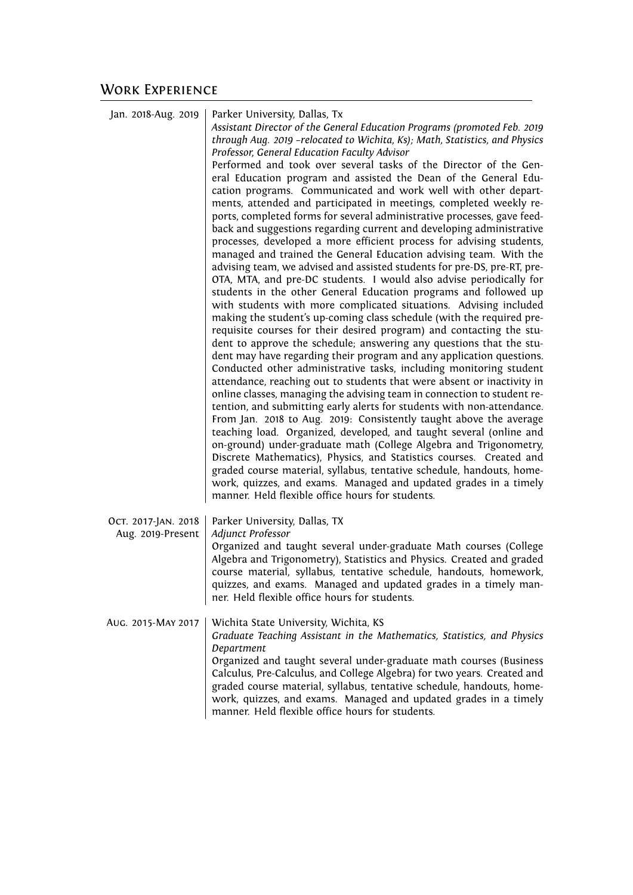| Jan. 2018-Aug. 2019                      | Parker University, Dallas, Tx<br>Assistant Director of the General Education Programs (promoted Feb. 2019<br>through Aug. 2019 -relocated to Wichita, Ks); Math, Statistics, and Physics<br>Professor, General Education Faculty Advisor<br>Performed and took over several tasks of the Director of the Gen-<br>eral Education program and assisted the Dean of the General Edu-<br>cation programs. Communicated and work well with other depart-<br>ments, attended and participated in meetings, completed weekly re-<br>ports, completed forms for several administrative processes, gave feed-<br>back and suggestions regarding current and developing administrative<br>processes, developed a more efficient process for advising students,<br>managed and trained the General Education advising team. With the<br>advising team, we advised and assisted students for pre-DS, pre-RT, pre-<br>OTA, MTA, and pre-DC students. I would also advise periodically for<br>students in the other General Education programs and followed up<br>with students with more complicated situations. Advising included<br>making the student's up-coming class schedule (with the required pre-<br>requisite courses for their desired program) and contacting the stu-<br>dent to approve the schedule; answering any questions that the stu-<br>dent may have regarding their program and any application questions.<br>Conducted other administrative tasks, including monitoring student<br>attendance, reaching out to students that were absent or inactivity in<br>online classes, managing the advising team in connection to student re-<br>tention, and submitting early alerts for students with non-attendance.<br>From Jan. 2018 to Aug. 2019: Consistently taught above the average<br>teaching load. Organized, developed, and taught several (online and<br>on-ground) under-graduate math (College Algebra and Trigonometry,<br>Discrete Mathematics), Physics, and Statistics courses. Created and<br>graded course material, syllabus, tentative schedule, handouts, home-<br>work, quizzes, and exams. Managed and updated grades in a timely<br>manner. Held flexible office hours for students. |
|------------------------------------------|----------------------------------------------------------------------------------------------------------------------------------------------------------------------------------------------------------------------------------------------------------------------------------------------------------------------------------------------------------------------------------------------------------------------------------------------------------------------------------------------------------------------------------------------------------------------------------------------------------------------------------------------------------------------------------------------------------------------------------------------------------------------------------------------------------------------------------------------------------------------------------------------------------------------------------------------------------------------------------------------------------------------------------------------------------------------------------------------------------------------------------------------------------------------------------------------------------------------------------------------------------------------------------------------------------------------------------------------------------------------------------------------------------------------------------------------------------------------------------------------------------------------------------------------------------------------------------------------------------------------------------------------------------------------------------------------------------------------------------------------------------------------------------------------------------------------------------------------------------------------------------------------------------------------------------------------------------------------------------------------------------------------------------------------------------------------------------------------------------------------------------------------------------------------------------------------------------------------|
| OCT. 2017-JAN. 2018<br>Aug. 2019-Present | Parker University, Dallas, TX<br>Adjunct Professor<br>Organized and taught several under-graduate Math courses (College<br>Algebra and Trigonometry), Statistics and Physics. Created and graded<br>course material, syllabus, tentative schedule, handouts, homework,<br>quizzes, and exams. Managed and updated grades in a timely man-<br>ner. Held flexible office hours for students.                                                                                                                                                                                                                                                                                                                                                                                                                                                                                                                                                                                                                                                                                                                                                                                                                                                                                                                                                                                                                                                                                                                                                                                                                                                                                                                                                                                                                                                                                                                                                                                                                                                                                                                                                                                                                           |
| AUG. 2015-MAY 2017                       | Wichita State University, Wichita, KS<br>Graduate Teaching Assistant in the Mathematics, Statistics, and Physics<br>Department<br>Organized and taught several under-graduate math courses (Business<br>Calculus, Pre-Calculus, and College Algebra) for two years. Created and<br>graded course material, syllabus, tentative schedule, handouts, home-<br>work, quizzes, and exams. Managed and updated grades in a timely<br>manner. Held flexible office hours for students.                                                                                                                                                                                                                                                                                                                                                                                                                                                                                                                                                                                                                                                                                                                                                                                                                                                                                                                                                                                                                                                                                                                                                                                                                                                                                                                                                                                                                                                                                                                                                                                                                                                                                                                                     |